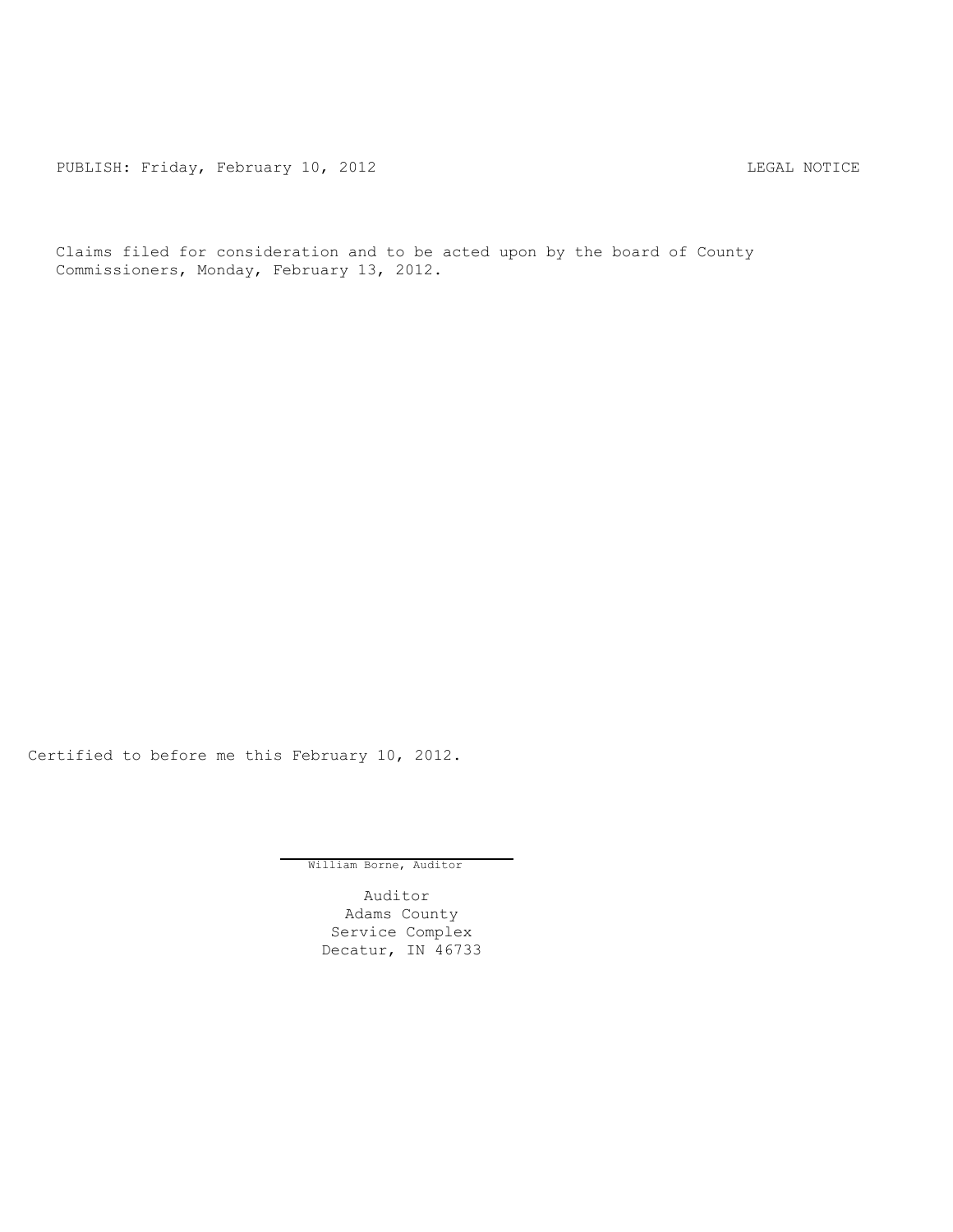PUBLISH: Friday, February 10, 2012 <br>
LEGAL NOTICE

Claims filed for consideration and to be acted upon by the board of County Commissioners, Monday, February 13, 2012.

Certified to before me this February 10, 2012.

William Borne, Auditor

Auditor Adams County Service Complex Decatur, IN 46733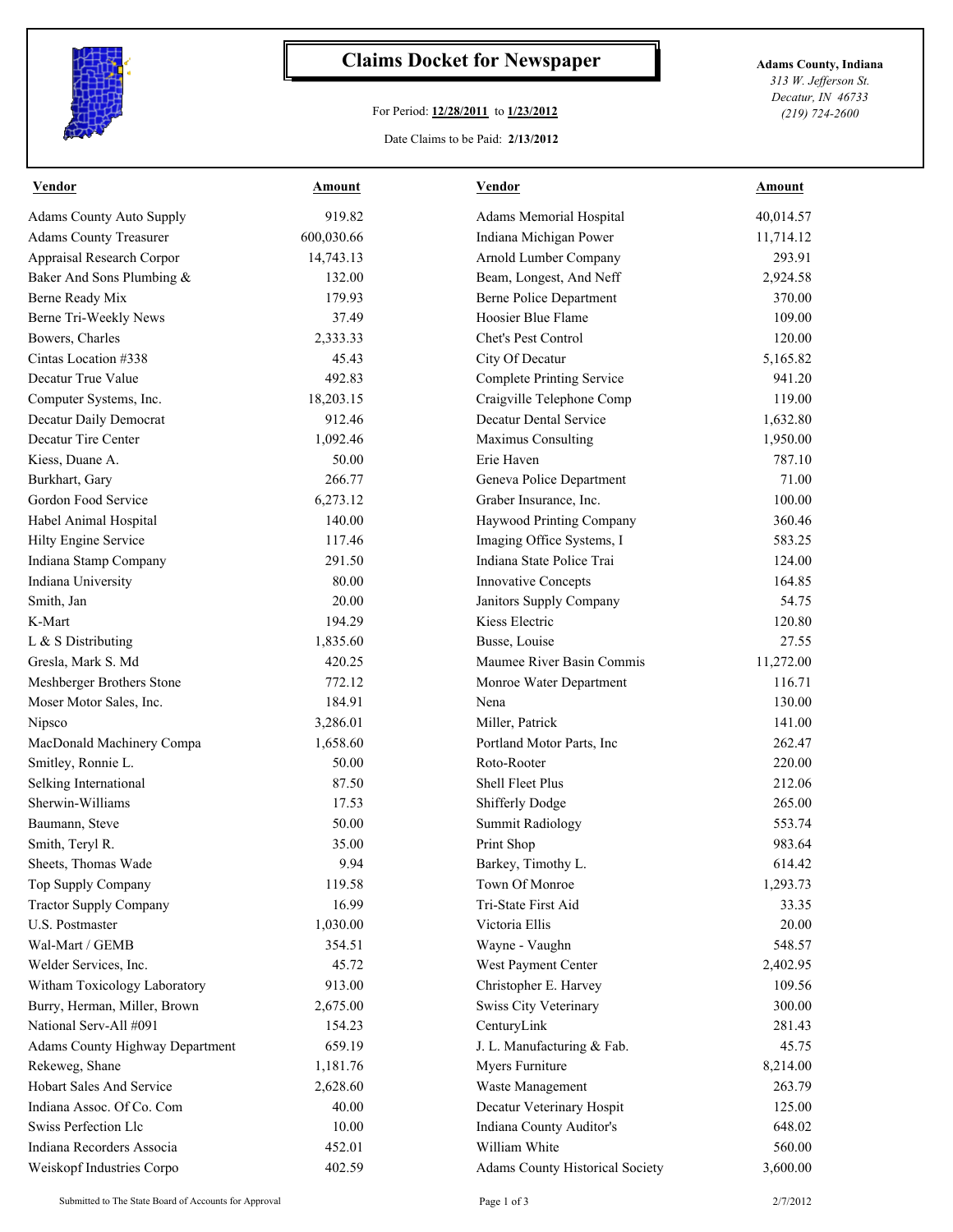

## **Claims Docket for Newspaper Adams County, Indiana**

## For Period: **12/28/2011** to **1/23/2012**

*313 W. Jefferson St. Decatur, IN 46733 (219) 724-2600*

## Date Claims to be Paid: **2/13/2012**

| <b>Vendor</b>                          | <b>Amount</b> | <b>Vendor</b>                          | <b>Amount</b> |
|----------------------------------------|---------------|----------------------------------------|---------------|
| <b>Adams County Auto Supply</b>        | 919.82        | Adams Memorial Hospital                | 40,014.57     |
| <b>Adams County Treasurer</b>          | 600,030.66    | Indiana Michigan Power                 | 11,714.12     |
| Appraisal Research Corpor              | 14,743.13     | Arnold Lumber Company                  | 293.91        |
| Baker And Sons Plumbing &              | 132.00        | Beam, Longest, And Neff                | 2,924.58      |
| Berne Ready Mix                        | 179.93        | <b>Berne Police Department</b>         | 370.00        |
| Berne Tri-Weekly News                  | 37.49         | Hoosier Blue Flame                     | 109.00        |
| Bowers, Charles                        | 2,333.33      | Chet's Pest Control                    | 120.00        |
| Cintas Location #338                   | 45.43         | City Of Decatur                        | 5,165.82      |
| Decatur True Value                     | 492.83        | <b>Complete Printing Service</b>       | 941.20        |
| Computer Systems, Inc.                 | 18,203.15     | Craigville Telephone Comp              | 119.00        |
| Decatur Daily Democrat                 | 912.46        | Decatur Dental Service                 | 1,632.80      |
| Decatur Tire Center                    | 1,092.46      | Maximus Consulting                     | 1,950.00      |
| Kiess, Duane A.                        | 50.00         | Erie Haven                             | 787.10        |
| Burkhart, Gary                         | 266.77        | Geneva Police Department               | 71.00         |
| Gordon Food Service                    | 6,273.12      | Graber Insurance, Inc.                 | 100.00        |
| Habel Animal Hospital                  | 140.00        | Haywood Printing Company               | 360.46        |
| Hilty Engine Service                   | 117.46        | Imaging Office Systems, I              | 583.25        |
| Indiana Stamp Company                  | 291.50        | Indiana State Police Trai              | 124.00        |
| Indiana University                     | 80.00         | <b>Innovative Concepts</b>             | 164.85        |
| Smith, Jan                             | 20.00         | Janitors Supply Company                | 54.75         |
| K-Mart                                 | 194.29        | Kiess Electric                         | 120.80        |
| L & S Distributing                     | 1,835.60      | Busse, Louise                          | 27.55         |
| Gresla, Mark S. Md                     | 420.25        | Maumee River Basin Commis              | 11,272.00     |
| Meshberger Brothers Stone              | 772.12        | Monroe Water Department                | 116.71        |
| Moser Motor Sales, Inc.                | 184.91        | Nena                                   | 130.00        |
| Nipsco                                 | 3,286.01      | Miller, Patrick                        | 141.00        |
| MacDonald Machinery Compa              | 1,658.60      | Portland Motor Parts, Inc.             | 262.47        |
| Smitley, Ronnie L.                     | 50.00         | Roto-Rooter                            | 220.00        |
| Selking International                  | 87.50         | Shell Fleet Plus                       | 212.06        |
| Sherwin-Williams                       | 17.53         | Shifferly Dodge                        | 265.00        |
| Baumann, Steve                         | 50.00         | <b>Summit Radiology</b>                | 553.74        |
| Smith, Teryl R.                        | 35.00         | Print Shop                             | 983.64        |
| Sheets, Thomas Wade                    | 9.94          | Barkey, Timothy L.                     | 614.42        |
| Top Supply Company                     | 119.58        | Town Of Monroe                         | 1,293.73      |
| <b>Tractor Supply Company</b>          | 16.99         | Tri-State First Aid                    | 33.35         |
| U.S. Postmaster                        | 1,030.00      | Victoria Ellis                         | 20.00         |
| Wal-Mart / GEMB                        | 354.51        | Wayne - Vaughn                         | 548.57        |
| Welder Services, Inc.                  | 45.72         | West Payment Center                    | 2,402.95      |
| Witham Toxicology Laboratory           | 913.00        | Christopher E. Harvey                  | 109.56        |
| Burry, Herman, Miller, Brown           | 2,675.00      | <b>Swiss City Veterinary</b>           | 300.00        |
| National Serv-All #091                 | 154.23        | CenturyLink                            | 281.43        |
| <b>Adams County Highway Department</b> | 659.19        | J. L. Manufacturing & Fab.             | 45.75         |
| Rekeweg, Shane                         | 1,181.76      | Myers Furniture                        | 8,214.00      |
| Hobart Sales And Service               | 2,628.60      | Waste Management                       | 263.79        |
| Indiana Assoc. Of Co. Com              | 40.00         | Decatur Veterinary Hospit              | 125.00        |
| Swiss Perfection Llc                   | 10.00         | Indiana County Auditor's               | 648.02        |
| Indiana Recorders Associa              |               | William White                          |               |
|                                        | 452.01        |                                        | 560.00        |
| Weiskopf Industries Corpo              | 402.59        | <b>Adams County Historical Society</b> | 3,600.00      |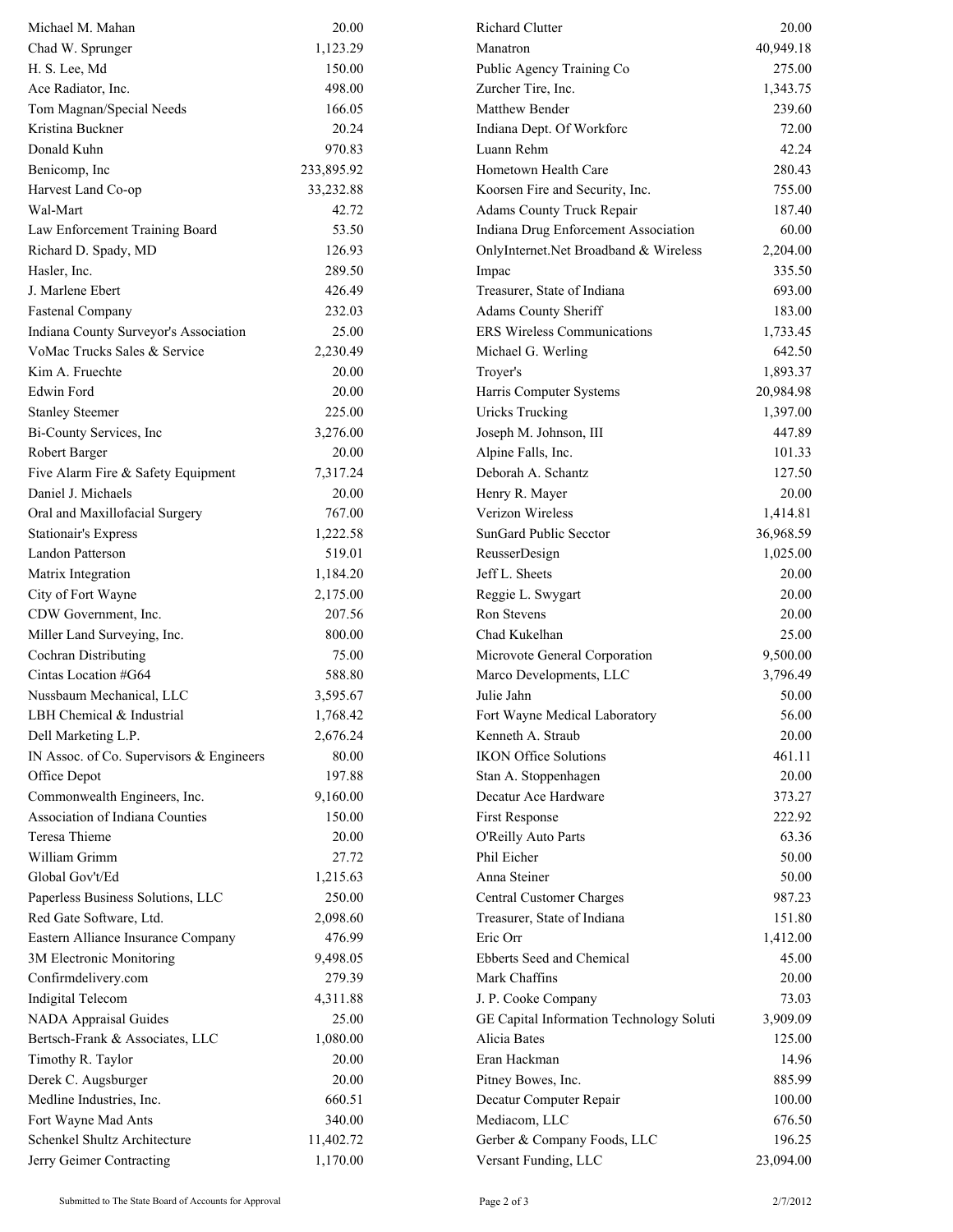| Michael M. Mahan                         | 20.00      | Richard Clutter                          | 20.00     |
|------------------------------------------|------------|------------------------------------------|-----------|
| Chad W. Sprunger                         | 1,123.29   | Manatron                                 | 40,949.18 |
| H. S. Lee, Md                            | 150.00     | Public Agency Training Co                | 275.00    |
| Ace Radiator, Inc.                       | 498.00     | Zurcher Tire, Inc.                       | 1,343.75  |
| Tom Magnan/Special Needs                 | 166.05     | Matthew Bender                           | 239.60    |
| Kristina Buckner                         | 20.24      | Indiana Dept. Of Workforc                | 72.00     |
| Donald Kuhn                              | 970.83     | Luann Rehm                               | 42.24     |
| Benicomp, Inc                            | 233,895.92 | Hometown Health Care                     | 280.43    |
| Harvest Land Co-op                       | 33,232.88  | Koorsen Fire and Security, Inc.          | 755.00    |
| Wal-Mart                                 | 42.72      | <b>Adams County Truck Repair</b>         | 187.40    |
| Law Enforcement Training Board           | 53.50      | Indiana Drug Enforcement Association     | 60.00     |
| Richard D. Spady, MD                     | 126.93     | OnlyInternet.Net Broadband & Wireless    | 2,204.00  |
| Hasler, Inc.                             | 289.50     | Impac                                    | 335.50    |
| J. Marlene Ebert                         | 426.49     | Treasurer, State of Indiana              | 693.00    |
| <b>Fastenal Company</b>                  | 232.03     | Adams County Sheriff                     | 183.00    |
| Indiana County Surveyor's Association    | 25.00      | <b>ERS Wireless Communications</b>       | 1,733.45  |
| VoMac Trucks Sales & Service             | 2,230.49   | Michael G. Werling                       | 642.50    |
| Kim A. Fruechte                          | 20.00      | Troyer's                                 | 1,893.37  |
| Edwin Ford                               | 20.00      | Harris Computer Systems                  | 20,984.98 |
| <b>Stanley Steemer</b>                   | 225.00     | <b>Uricks Trucking</b>                   | 1,397.00  |
| Bi-County Services, Inc                  | 3,276.00   | Joseph M. Johnson, III                   | 447.89    |
| Robert Barger                            | 20.00      | Alpine Falls, Inc.                       | 101.33    |
| Five Alarm Fire & Safety Equipment       | 7,317.24   | Deborah A. Schantz                       | 127.50    |
| Daniel J. Michaels                       | 20.00      | Henry R. Mayer                           | 20.00     |
| Oral and Maxillofacial Surgery           | 767.00     | Verizon Wireless                         | 1,414.81  |
| <b>Stationair's Express</b>              | 1,222.58   | SunGard Public Secctor                   | 36,968.59 |
| Landon Patterson                         | 519.01     | ReusserDesign                            | 1,025.00  |
| Matrix Integration                       | 1,184.20   | Jeff L. Sheets                           | 20.00     |
| City of Fort Wayne                       | 2,175.00   | Reggie L. Swygart                        | 20.00     |
| CDW Government, Inc.                     | 207.56     | Ron Stevens                              | 20.00     |
| Miller Land Surveying, Inc.              | 800.00     | Chad Kukelhan                            | 25.00     |
| Cochran Distributing                     | 75.00      | Microvote General Corporation            | 9,500.00  |
| Cintas Location #G64                     | 588.80     | Marco Developments, LLC                  | 3,796.49  |
| Nussbaum Mechanical, LLC                 | 3,595.67   | Julie Jahn                               | 50.00     |
| LBH Chemical & Industrial                | 1,768.42   | Fort Wayne Medical Laboratory            | 56.00     |
| Dell Marketing L.P.                      | 2,676.24   | Kenneth A. Straub                        | 20.00     |
| IN Assoc. of Co. Supervisors & Engineers | 80.00      | <b>IKON Office Solutions</b>             | 461.11    |
| Office Depot                             | 197.88     | Stan A. Stoppenhagen                     | 20.00     |
| Commonwealth Engineers, Inc.             | 9,160.00   | Decatur Ace Hardware                     | 373.27    |
| Association of Indiana Counties          | 150.00     | First Response                           | 222.92    |
| Teresa Thieme                            | 20.00      | O'Reilly Auto Parts                      | 63.36     |
| William Grimm                            | 27.72      | Phil Eicher                              | 50.00     |
| Global Gov't/Ed                          | 1,215.63   | Anna Steiner                             | 50.00     |
| Paperless Business Solutions, LLC        | 250.00     | Central Customer Charges                 | 987.23    |
| Red Gate Software, Ltd.                  | 2,098.60   | Treasurer, State of Indiana              | 151.80    |
| Eastern Alliance Insurance Company       | 476.99     | Eric Orr                                 | 1,412.00  |
| 3M Electronic Monitoring                 | 9,498.05   | Ebberts Seed and Chemical                | 45.00     |
| Confirmdelivery.com                      | 279.39     | Mark Chaffins                            | 20.00     |
| <b>Indigital Telecom</b>                 | 4,311.88   | J. P. Cooke Company                      | 73.03     |
| <b>NADA Appraisal Guides</b>             | 25.00      | GE Capital Information Technology Soluti | 3,909.09  |
| Bertsch-Frank & Associates, LLC          | 1,080.00   | Alicia Bates                             | 125.00    |
| Timothy R. Taylor                        | 20.00      | Eran Hackman                             | 14.96     |
| Derek C. Augsburger                      | 20.00      | Pitney Bowes, Inc.                       | 885.99    |
| Medline Industries, Inc.                 | 660.51     | Decatur Computer Repair                  | 100.00    |
| Fort Wayne Mad Ants                      | 340.00     | Mediacom, LLC                            | 676.50    |
| Schenkel Shultz Architecture             | 11,402.72  | Gerber & Company Foods, LLC              | 196.25    |
| Jerry Geimer Contracting                 | 1,170.00   | Versant Funding, LLC                     | 23,094.00 |